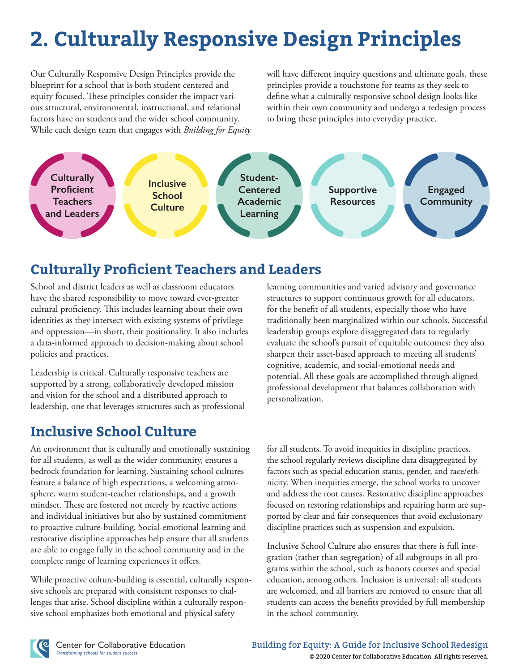# **2. Culturally Responsive Design Principles**

Our Culturally Responsive Design Principles provide the blueprint for a school that is both student centered and equity focused. These principles consider the impact various structural, environmental, instructional, and relational factors have on students and the wider school community. While each design team that engages with *Building for Equity* will have different inquiry questions and ultimate goals, these principles provide a touchstone for teams as they seek to define what a culturally responsive school design looks like within their own community and undergo a redesign process to bring these principles into everyday practice.



### **Culturally Proficient Teachers and Leaders**

School and district leaders as well as classroom educators have the shared responsibility to move toward ever-greater cultural proficiency. This includes learning about their own identities as they intersect with existing systems of privilege and oppression—in short, their positionality. It also includes a data-informed approach to decision-making about school policies and practices.

Leadership is critical. Culturally responsive teachers are supported by a strong, collaboratively developed mission and vision for the school and a distributed approach to leadership, one that leverages structures such as professional

## **Inclusive School Culture**

An environment that is culturally and emotionally sustaining for all students, as well as the wider community, ensures a bedrock foundation for learning. Sustaining school cultures feature a balance of high expectations, a welcoming atmosphere, warm student-teacher relationships, and a growth mindset. These are fostered not merely by reactive actions and individual initiatives but also by sustained commitment to proactive culture-building. Social-emotional learning and restorative discipline approaches help ensure that all students are able to engage fully in the school community and in the complete range of learning experiences it offers.

s are prepa sive schools are prepared with consistent responses to challenges that arise. School discipline within a culturally respon-While proactive culture-building is essential, culturally responsive school emphasizes both emotional and physical safety

learning communities and varied advisory and governance structures to support continuous growth for all educators, for the benefit of all students, especially those who have traditionally been marginalized within our schools. Successful leadership groups explore disaggregated data to regularly evaluate the school's pursuit of equitable outcomes; they also sharpen their asset-based approach to meeting all students' cognitive, academic, and social-emotional needs and potential. All these goals are accomplished through aligned professional development that balances collaboration with personalization.

for all students. To avoid inequities in discipline practices, the school regularly reviews discipline data disaggregated by factors such as special education status, gender, and race/ethnicity. When inequities emerge, the school works to uncover and address the root causes. Restorative discipline approaches focused on restoring relationships and repairing harm are supported by clear and fair consequences that avoid exclusionary discipline practices such as suspension and expulsion.

Inclusive School Culture also ensures that there is full integration (rather than segregation) of all subgroups in all programs within the school, such as honors courses and special education, among others. Inclusion is universal: all students are welcomed, and all barriers are removed to ensure that all students can access the benefits provided by full membership in the school community.